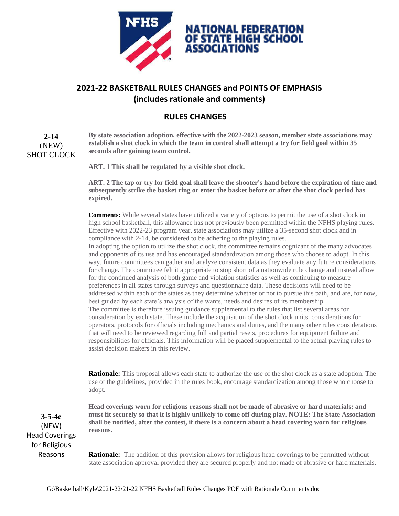

## **2021-22 BASKETBALL RULES CHANGES and POINTS OF EMPHASIS (includes rationale and comments)**

## **RULES CHANGES**

Г

| $2 - 14$<br>(NEW)<br><b>SHOT CLOCK</b>                                     | By state association adoption, effective with the 2022-2023 season, member state associations may<br>establish a shot clock in which the team in control shall attempt a try for field goal within 35<br>seconds after gaining team control.                                                                                                                                                                                                                                                                                                                                                                                                                                                                                                                                                                                                                                                                                                                                                                                                                                                                                                                                                                                                                                                                                                                                                                                                                                                                                                                                                                                                                                                                                                                                                                                                                             |
|----------------------------------------------------------------------------|--------------------------------------------------------------------------------------------------------------------------------------------------------------------------------------------------------------------------------------------------------------------------------------------------------------------------------------------------------------------------------------------------------------------------------------------------------------------------------------------------------------------------------------------------------------------------------------------------------------------------------------------------------------------------------------------------------------------------------------------------------------------------------------------------------------------------------------------------------------------------------------------------------------------------------------------------------------------------------------------------------------------------------------------------------------------------------------------------------------------------------------------------------------------------------------------------------------------------------------------------------------------------------------------------------------------------------------------------------------------------------------------------------------------------------------------------------------------------------------------------------------------------------------------------------------------------------------------------------------------------------------------------------------------------------------------------------------------------------------------------------------------------------------------------------------------------------------------------------------------------|
|                                                                            | ART. 1 This shall be regulated by a visible shot clock.                                                                                                                                                                                                                                                                                                                                                                                                                                                                                                                                                                                                                                                                                                                                                                                                                                                                                                                                                                                                                                                                                                                                                                                                                                                                                                                                                                                                                                                                                                                                                                                                                                                                                                                                                                                                                  |
|                                                                            | ART. 2 The tap or try for field goal shall leave the shooter's hand before the expiration of time and<br>subsequently strike the basket ring or enter the basket before or after the shot clock period has<br>expired.                                                                                                                                                                                                                                                                                                                                                                                                                                                                                                                                                                                                                                                                                                                                                                                                                                                                                                                                                                                                                                                                                                                                                                                                                                                                                                                                                                                                                                                                                                                                                                                                                                                   |
|                                                                            | <b>Comments:</b> While several states have utilized a variety of options to permit the use of a shot clock in<br>high school basketball, this allowance has not previously been permitted within the NFHS playing rules.<br>Effective with 2022-23 program year, state associations may utilize a 35-second shot clock and in<br>compliance with 2-14, be considered to be adhering to the playing rules.<br>In adopting the option to utilize the shot clock, the committee remains cognizant of the many advocates<br>and opponents of its use and has encouraged standardization among those who choose to adopt. In this<br>way, future committees can gather and analyze consistent data as they evaluate any future considerations<br>for change. The committee felt it appropriate to stop short of a nationwide rule change and instead allow<br>for the continued analysis of both game and violation statistics as well as continuing to measure<br>preferences in all states through surveys and questionnaire data. These decisions will need to be<br>addressed within each of the states as they determine whether or not to pursue this path, and are, for now,<br>best guided by each state's analysis of the wants, needs and desires of its membership.<br>The committee is therefore issuing guidance supplemental to the rules that list several areas for<br>consideration by each state. These include the acquisition of the shot clock units, considerations for<br>operators, protocols for officials including mechanics and duties, and the many other rules considerations<br>that will need to be reviewed regarding full and partial resets, procedures for equipment failure and<br>responsibilities for officials. This information will be placed supplemental to the actual playing rules to<br>assist decision makers in this review. |
|                                                                            | <b>Rationale:</b> This proposal allows each state to authorize the use of the shot clock as a state adoption. The<br>use of the guidelines, provided in the rules book, encourage standardization among those who choose to<br>adopt.                                                                                                                                                                                                                                                                                                                                                                                                                                                                                                                                                                                                                                                                                                                                                                                                                                                                                                                                                                                                                                                                                                                                                                                                                                                                                                                                                                                                                                                                                                                                                                                                                                    |
| $3 - 5 - 4e$<br>(NEW)<br><b>Head Coverings</b><br>for Religious<br>Reasons | Head coverings worn for religious reasons shall not be made of abrasive or hard materials; and<br>must fit securely so that it is highly unlikely to come off during play. NOTE: The State Association<br>shall be notified, after the contest, if there is a concern about a head covering worn for religious<br>reasons.                                                                                                                                                                                                                                                                                                                                                                                                                                                                                                                                                                                                                                                                                                                                                                                                                                                                                                                                                                                                                                                                                                                                                                                                                                                                                                                                                                                                                                                                                                                                               |
|                                                                            | <b>Rationale:</b> The addition of this provision allows for religious head coverings to be permitted without<br>state association approval provided they are secured properly and not made of abrasive or hard materials.                                                                                                                                                                                                                                                                                                                                                                                                                                                                                                                                                                                                                                                                                                                                                                                                                                                                                                                                                                                                                                                                                                                                                                                                                                                                                                                                                                                                                                                                                                                                                                                                                                                |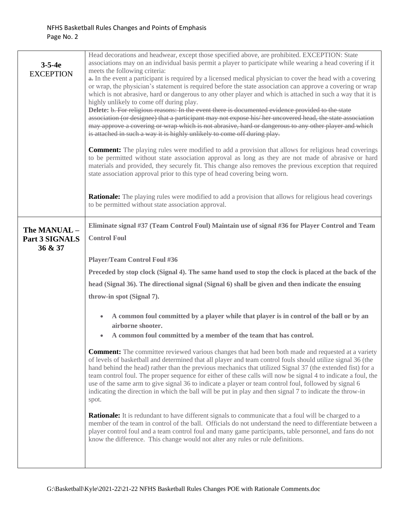| $3 - 5 - 4e$<br><b>EXCEPTION</b>          | Head decorations and headwear, except those specified above, are prohibited. EXCEPTION: State<br>associations may on an individual basis permit a player to participate while wearing a head covering if it<br>meets the following criteria:<br>a. In the event a participant is required by a licensed medical physician to cover the head with a covering<br>or wrap, the physician's statement is required before the state association can approve a covering or wrap<br>which is not abrasive, hard or dangerous to any other player and which is attached in such a way that it is<br>highly unlikely to come off during play.<br>Delete: b. For religious reasons: In the event there is documented evidence provided to the state<br>association (or designee) that a participant may not expose his/her uncovered head, the state association<br>may approve a covering or wrap which is not abrasive, hard or dangerous to any other player and which<br>is attached in such a way it is highly unlikely to come off during play.<br><b>Comment:</b> The playing rules were modified to add a provision that allows for religious head coverings<br>to be permitted without state association approval as long as they are not made of abrasive or hard<br>materials and provided, they securely fit. This change also removes the previous exception that required<br>state association approval prior to this type of head covering being worn. |
|-------------------------------------------|-------------------------------------------------------------------------------------------------------------------------------------------------------------------------------------------------------------------------------------------------------------------------------------------------------------------------------------------------------------------------------------------------------------------------------------------------------------------------------------------------------------------------------------------------------------------------------------------------------------------------------------------------------------------------------------------------------------------------------------------------------------------------------------------------------------------------------------------------------------------------------------------------------------------------------------------------------------------------------------------------------------------------------------------------------------------------------------------------------------------------------------------------------------------------------------------------------------------------------------------------------------------------------------------------------------------------------------------------------------------------------------------------------------------------------------------------------------|
|                                           | <b>Rationale:</b> The playing rules were modified to add a provision that allows for religious head coverings<br>to be permitted without state association approval.                                                                                                                                                                                                                                                                                                                                                                                                                                                                                                                                                                                                                                                                                                                                                                                                                                                                                                                                                                                                                                                                                                                                                                                                                                                                                        |
| The MANUAL -<br>Part 3 SIGNALS<br>36 & 37 | Eliminate signal #37 (Team Control Foul) Maintain use of signal #36 for Player Control and Team<br><b>Control Foul</b>                                                                                                                                                                                                                                                                                                                                                                                                                                                                                                                                                                                                                                                                                                                                                                                                                                                                                                                                                                                                                                                                                                                                                                                                                                                                                                                                      |
|                                           | <b>Player/Team Control Foul #36</b>                                                                                                                                                                                                                                                                                                                                                                                                                                                                                                                                                                                                                                                                                                                                                                                                                                                                                                                                                                                                                                                                                                                                                                                                                                                                                                                                                                                                                         |
|                                           | Preceded by stop clock (Signal 4). The same hand used to stop the clock is placed at the back of the                                                                                                                                                                                                                                                                                                                                                                                                                                                                                                                                                                                                                                                                                                                                                                                                                                                                                                                                                                                                                                                                                                                                                                                                                                                                                                                                                        |
|                                           | head (Signal 36). The directional signal (Signal 6) shall be given and then indicate the ensuing                                                                                                                                                                                                                                                                                                                                                                                                                                                                                                                                                                                                                                                                                                                                                                                                                                                                                                                                                                                                                                                                                                                                                                                                                                                                                                                                                            |
|                                           | throw-in spot (Signal 7).                                                                                                                                                                                                                                                                                                                                                                                                                                                                                                                                                                                                                                                                                                                                                                                                                                                                                                                                                                                                                                                                                                                                                                                                                                                                                                                                                                                                                                   |
|                                           | A common foul committed by a player while that player is in control of the ball or by an                                                                                                                                                                                                                                                                                                                                                                                                                                                                                                                                                                                                                                                                                                                                                                                                                                                                                                                                                                                                                                                                                                                                                                                                                                                                                                                                                                    |
|                                           | airborne shooter.                                                                                                                                                                                                                                                                                                                                                                                                                                                                                                                                                                                                                                                                                                                                                                                                                                                                                                                                                                                                                                                                                                                                                                                                                                                                                                                                                                                                                                           |
|                                           | A common foul committed by a member of the team that has control.                                                                                                                                                                                                                                                                                                                                                                                                                                                                                                                                                                                                                                                                                                                                                                                                                                                                                                                                                                                                                                                                                                                                                                                                                                                                                                                                                                                           |
|                                           | <b>Comment:</b> The committee reviewed various changes that had been both made and requested at a variety<br>of levels of basketball and determined that all player and team control fouls should utilize signal 36 (the<br>hand behind the head) rather than the previous mechanics that utilized Signal 37 (the extended fist) for a<br>team control foul. The proper sequence for either of these calls will now be signal 4 to indicate a foul, the<br>use of the same arm to give signal 36 to indicate a player or team control foul, followed by signal 6<br>indicating the direction in which the ball will be put in play and then signal 7 to indicate the throw-in<br>spot.                                                                                                                                                                                                                                                                                                                                                                                                                                                                                                                                                                                                                                                                                                                                                                      |
|                                           | <b>Rationale:</b> It is redundant to have different signals to communicate that a foul will be charged to a<br>member of the team in control of the ball. Officials do not understand the need to differentiate between a<br>player control foul and a team control foul and many game participants, table personnel, and fans do not<br>know the difference. This change would not alter any rules or rule definitions.                                                                                                                                                                                                                                                                                                                                                                                                                                                                                                                                                                                                                                                                                                                                                                                                                                                                                                                                                                                                                                    |
|                                           |                                                                                                                                                                                                                                                                                                                                                                                                                                                                                                                                                                                                                                                                                                                                                                                                                                                                                                                                                                                                                                                                                                                                                                                                                                                                                                                                                                                                                                                             |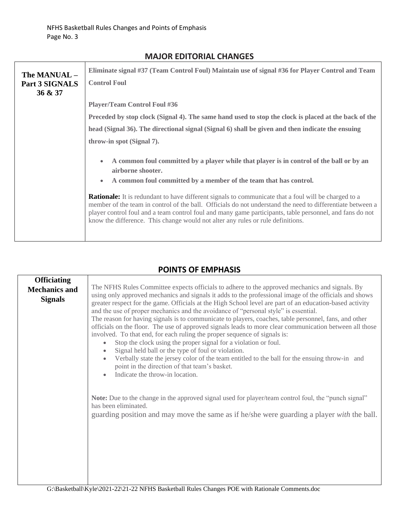| The MANUAL -<br>Part 3 SIGNALS<br>36 & 37 | Eliminate signal #37 (Team Control Foul) Maintain use of signal #36 for Player Control and Team                                                                                                                                                                                                                                                                                                                          |
|-------------------------------------------|--------------------------------------------------------------------------------------------------------------------------------------------------------------------------------------------------------------------------------------------------------------------------------------------------------------------------------------------------------------------------------------------------------------------------|
|                                           | <b>Control Foul</b>                                                                                                                                                                                                                                                                                                                                                                                                      |
|                                           | <b>Player/Team Control Foul #36</b>                                                                                                                                                                                                                                                                                                                                                                                      |
|                                           | Preceded by stop clock (Signal 4). The same hand used to stop the clock is placed at the back of the                                                                                                                                                                                                                                                                                                                     |
|                                           | head (Signal 36). The directional signal (Signal 6) shall be given and then indicate the ensuing                                                                                                                                                                                                                                                                                                                         |
|                                           | throw-in spot (Signal 7).                                                                                                                                                                                                                                                                                                                                                                                                |
|                                           | A common foul committed by a player while that player is in control of the ball or by an<br>$\bullet$<br>airborne shooter.                                                                                                                                                                                                                                                                                               |
|                                           | A common foul committed by a member of the team that has control.<br>$\bullet$                                                                                                                                                                                                                                                                                                                                           |
|                                           | <b>Rationale:</b> It is redundant to have different signals to communicate that a foul will be charged to a<br>member of the team in control of the ball. Officials do not understand the need to differentiate between a<br>player control foul and a team control foul and many game participants, table personnel, and fans do not<br>know the difference. This change would not alter any rules or rule definitions. |

## **MAJOR EDITORIAL CHANGES**

## **POINTS OF EMPHASIS**

٦

| <b>Officiating</b>   |                                                                                                                                                                                                                                                                                                                                                                                                                                                                                                                                                                                                                                                                                                                                                                                                                                                                                                                                                                                                                                                                                                                                                               |
|----------------------|---------------------------------------------------------------------------------------------------------------------------------------------------------------------------------------------------------------------------------------------------------------------------------------------------------------------------------------------------------------------------------------------------------------------------------------------------------------------------------------------------------------------------------------------------------------------------------------------------------------------------------------------------------------------------------------------------------------------------------------------------------------------------------------------------------------------------------------------------------------------------------------------------------------------------------------------------------------------------------------------------------------------------------------------------------------------------------------------------------------------------------------------------------------|
| <b>Mechanics and</b> | The NFHS Rules Committee expects officials to adhere to the approved mechanics and signals. By                                                                                                                                                                                                                                                                                                                                                                                                                                                                                                                                                                                                                                                                                                                                                                                                                                                                                                                                                                                                                                                                |
| <b>Signals</b>       | using only approved mechanics and signals it adds to the professional image of the officials and shows<br>greater respect for the game. Officials at the High School level are part of an education-based activity<br>and the use of proper mechanics and the avoidance of "personal style" is essential.<br>The reason for having signals is to communicate to players, coaches, table personnel, fans, and other<br>officials on the floor. The use of approved signals leads to more clear communication between all those<br>involved. To that end, for each ruling the proper sequence of signals is:<br>Stop the clock using the proper signal for a violation or foul.<br>Signal held ball or the type of foul or violation.<br>Verbally state the jersey color of the team entitled to the ball for the ensuing throw-in and<br>point in the direction of that team's basket.<br>Indicate the throw-in location.<br>Note: Due to the change in the approved signal used for player/team control foul, the "punch signal"<br>has been eliminated.<br>guarding position and may move the same as if he/she were guarding a player <i>with</i> the ball. |
|                      | $C_{1}D_{2}$ , 1, 4, 4, 1, 17 $I$ , 1, 2001, 2010 1, 20 MEHC $D_{2}$ , 1, 4, 41, D, 1, $C_{1}$ , $C_{2}$                                                                                                                                                                                                                                                                                                                                                                                                                                                                                                                                                                                                                                                                                                                                                                                                                                                                                                                                                                                                                                                      |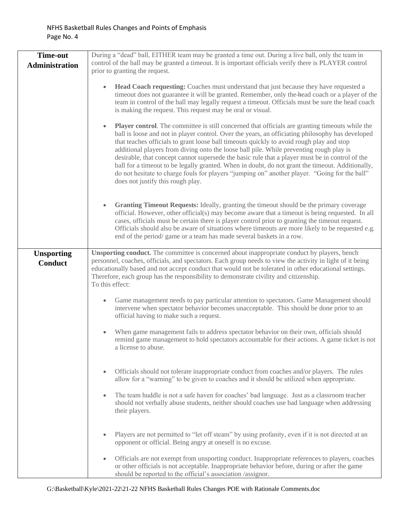| <b>Time-out</b>                     | During a "dead" ball, EITHER team may be granted a time out. During a live ball, only the team in                                                                                                                                                                                                                                                                                                                                                                                                                                                                                                                                                                                                                                                           |
|-------------------------------------|-------------------------------------------------------------------------------------------------------------------------------------------------------------------------------------------------------------------------------------------------------------------------------------------------------------------------------------------------------------------------------------------------------------------------------------------------------------------------------------------------------------------------------------------------------------------------------------------------------------------------------------------------------------------------------------------------------------------------------------------------------------|
| Administration                      | control of the ball may be granted a timeout. It is important officials verify there is PLAYER control                                                                                                                                                                                                                                                                                                                                                                                                                                                                                                                                                                                                                                                      |
|                                     | prior to granting the request.                                                                                                                                                                                                                                                                                                                                                                                                                                                                                                                                                                                                                                                                                                                              |
|                                     | <b>Head Coach requesting:</b> Coaches must understand that just because they have requested a<br>$\bullet$<br>timeout does not guarantee it will be granted. Remember, only the head coach or a player of the<br>team in control of the ball may legally request a timeout. Officials must be sure the head coach<br>is making the request. This request may be oral or visual.                                                                                                                                                                                                                                                                                                                                                                             |
|                                     | <b>Player control.</b> The committee is still concerned that officials are granting timeouts while the<br>$\bullet$<br>ball is loose and not in player control. Over the years, an officiating philosophy has developed<br>that teaches officials to grant loose ball timeouts quickly to avoid rough play and stop<br>additional players from diving onto the loose ball pile. While preventing rough play is<br>desirable, that concept cannot supersede the basic rule that a player must be in control of the<br>ball for a timeout to be legally granted. When in doubt, do not grant the timeout. Additionally,<br>do not hesitate to charge fouls for players "jumping on" another player. "Going for the ball"<br>does not justify this rough play. |
|                                     | <b>Granting Timeout Requests:</b> Ideally, granting the timeout should be the primary coverage<br>$\bullet$<br>official. However, other official(s) may become aware that a timeout is being requested. In all<br>cases, officials must be certain there is player control prior to granting the timeout request.<br>Officials should also be aware of situations where timeouts are more likely to be requested e.g.<br>end of the period/ game or a team has made several baskets in a row.                                                                                                                                                                                                                                                               |
| <b>Unsporting</b><br><b>Conduct</b> | <b>Unsporting conduct.</b> The committee is concerned about inappropriate conduct by players, bench<br>personnel, coaches, officials, and spectators. Each group needs to view the activity in light of it being<br>educationally based and not accept conduct that would not be tolerated in other educational settings.<br>Therefore, each group has the responsibility to demonstrate civility and citizenship.<br>To this effect:                                                                                                                                                                                                                                                                                                                       |
|                                     | Game management needs to pay particular attention to spectators. Game Management should<br>intervene when spectator behavior becomes unacceptable. This should be done prior to an<br>official having to make such a request.                                                                                                                                                                                                                                                                                                                                                                                                                                                                                                                               |
|                                     | When game management fails to address spectator behavior on their own, officials should<br>remind game management to hold spectators accountable for their actions. A game ticket is not<br>a license to abuse.                                                                                                                                                                                                                                                                                                                                                                                                                                                                                                                                             |
|                                     | Officials should not tolerate inappropriate conduct from coaches and/or players. The rules<br>allow for a "warning" to be given to coaches and it should be utilized when appropriate.                                                                                                                                                                                                                                                                                                                                                                                                                                                                                                                                                                      |
|                                     | The team huddle is not a safe haven for coaches' bad language. Just as a classroom teacher<br>$\bullet$<br>should not verbally abuse students, neither should coaches use bad language when addressing<br>their players.                                                                                                                                                                                                                                                                                                                                                                                                                                                                                                                                    |
|                                     | Players are not permitted to "let off steam" by using profanity, even if it is not directed at an<br>opponent or official. Being angry at oneself is no excuse.                                                                                                                                                                                                                                                                                                                                                                                                                                                                                                                                                                                             |
|                                     | Officials are not exempt from unsporting conduct. Inappropriate references to players, coaches<br>۰<br>or other officials is not acceptable. Inappropriate behavior before, during or after the game<br>should be reported to the official's association /assignor.                                                                                                                                                                                                                                                                                                                                                                                                                                                                                         |